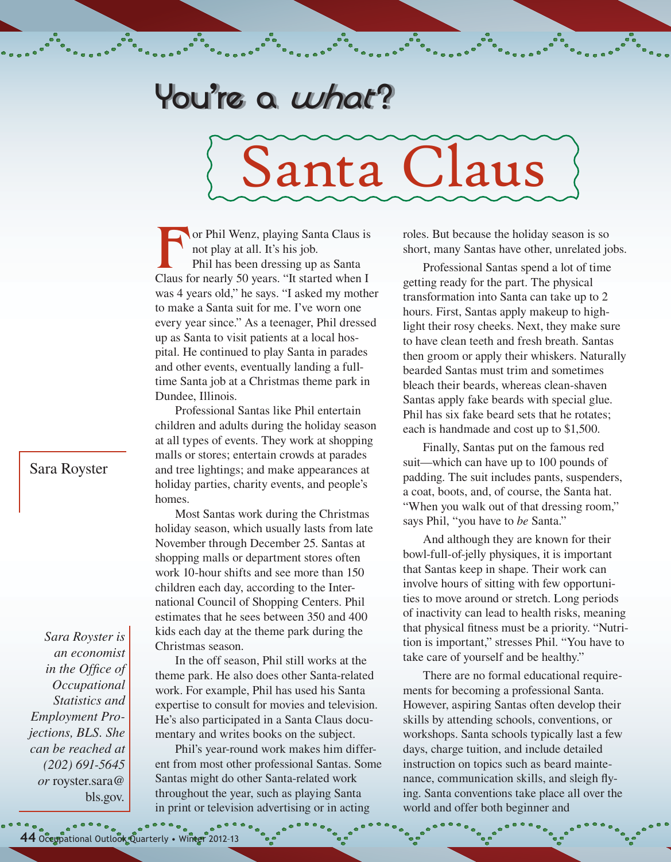## **You're a what ?**

## Santa Claus

For Phil Wenz, playing Santa Claus is<br>
not play at all. It's his job.<br>
Phil has been dressing up as Santa<br>
Claus for nearly 50 years. "It started when I not play at all. It's his job. Phil has been dressing up as Santa was 4 years old," he says. "I asked my mother to make a Santa suit for me. I've worn one every year since." As a teenager, Phil dressed up as Santa to visit patients at a local hospital. He continued to play Santa in parades and other events, eventually landing a fulltime Santa job at a Christmas theme park in Dundee, Illinois.

Professional Santas like Phil entertain children and adults during the holiday season at all types of events. They work at shopping malls or stores; entertain crowds at parades and tree lightings; and make appearances at holiday parties, charity events, and people's homes.

Most Santas work during the Christmas holiday season, which usually lasts from late November through December 25. Santas at shopping malls or department stores often work 10-hour shifts and see more than 150 children each day, according to the International Council of Shopping Centers. Phil estimates that he sees between 350 and 400 kids each day at the theme park during the Christmas season.

In the off season, Phil still works at the theme park. He also does other Santa-related work. For example, Phil has used his Santa expertise to consult for movies and television. He's also participated in a Santa Claus documentary and writes books on the subject.

Phil's year-round work makes him different from most other professional Santas. Some Santas might do other Santa-related work throughout the year, such as playing Santa in print or television advertising or in acting

roles. But because the holiday season is so short, many Santas have other, unrelated jobs.

Professional Santas spend a lot of time getting ready for the part. The physical transformation into Santa can take up to 2 hours. First, Santas apply makeup to highlight their rosy cheeks. Next, they make sure to have clean teeth and fresh breath. Santas then groom or apply their whiskers. Naturally bearded Santas must trim and sometimes bleach their beards, whereas clean-shaven Santas apply fake beards with special glue. Phil has six fake beard sets that he rotates; each is handmade and cost up to \$1,500.

Finally, Santas put on the famous red suit—which can have up to 100 pounds of padding. The suit includes pants, suspenders, a coat, boots, and, of course, the Santa hat. "When you walk out of that dressing room," says Phil, "you have to *be* Santa."

And although they are known for their bowl-full-of-jelly physiques, it is important that Santas keep in shape. Their work can involve hours of sitting with few opportunities to move around or stretch. Long periods of inactivity can lead to health risks, meaning that physical fitness must be a priority. "Nutrition is important," stresses Phil. "You have to take care of yourself and be healthy."

There are no formal educational requirements for becoming a professional Santa. However, aspiring Santas often develop their skills by attending schools, conventions, or workshops. Santa schools typically last a few days, charge tuition, and include detailed instruction on topics such as beard maintenance, communication skills, and sleigh flying. Santa conventions take place all over the world and offer both beginner and

## Sara Royster

*Sara Royster is an economist in the Office of Occupational Statistics and Employment Projections, BLS. She can be reached at (202) 691-5645 or* royste[r.sara@](mailto:vilorio.dennis%40bls.gov?subject=) [bls.gov](mailto:vilorio.dennis%40bls.gov?subject=)*.*